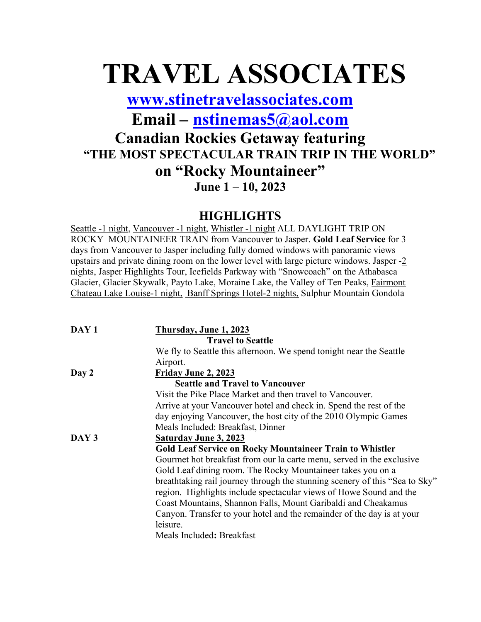# TRAVEL ASSOCIATES

www.stinetravelassociates.com

Email – nstinemas5@aol.com

### Canadian Rockies Getaway featuring "THE MOST SPECTACULAR TRAIN TRIP IN THE WORLD" on "Rocky Mountaineer" June 1 – 10, 2023

#### **HIGHLIGHTS**

Seattle -1 night, Vancouver -1 night, Whistler -1 night ALL DAYLIGHT TRIP ON ROCKY MOUNTAINEER TRAIN from Vancouver to Jasper. Gold Leaf Service for 3 days from Vancouver to Jasper including fully domed windows with panoramic views upstairs and private dining room on the lower level with large picture windows. Jasper -2 nights, Jasper Highlights Tour, Icefields Parkway with "Snowcoach" on the Athabasca Glacier, Glacier Skywalk, Payto Lake, Moraine Lake, the Valley of Ten Peaks, Fairmont Chateau Lake Louise-1 night, Banff Springs Hotel-2 nights, Sulphur Mountain Gondola

| breathtaking rail journey through the stunning scenery of this "Sea to Sky"                                                                                                                                           |
|-----------------------------------------------------------------------------------------------------------------------------------------------------------------------------------------------------------------------|
|                                                                                                                                                                                                                       |
|                                                                                                                                                                                                                       |
|                                                                                                                                                                                                                       |
|                                                                                                                                                                                                                       |
|                                                                                                                                                                                                                       |
| Gourmet hot breakfast from our la carte menu, served in the exclusive<br>region. Highlights include spectacular views of Howe Sound and the<br>Canyon. Transfer to your hotel and the remainder of the day is at your |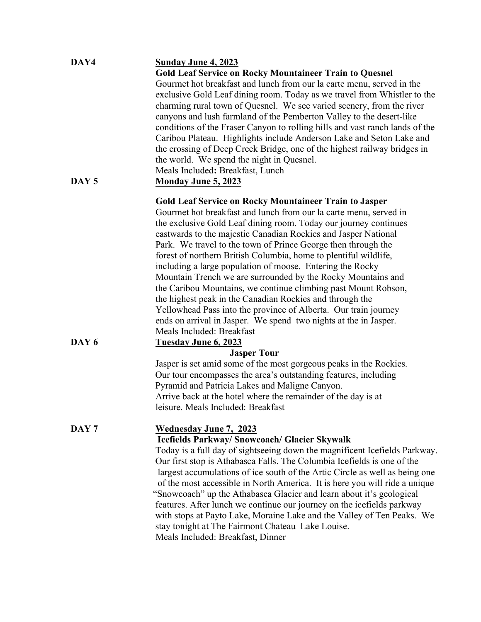| DAY4             | <u>Sunday June 4, 2023</u>                                                   |
|------------------|------------------------------------------------------------------------------|
|                  | <b>Gold Leaf Service on Rocky Mountaineer Train to Quesnel</b>               |
|                  | Gourmet hot breakfast and lunch from our la carte menu, served in the        |
|                  | exclusive Gold Leaf dining room. Today as we travel from Whistler to the     |
|                  | charming rural town of Quesnel. We see varied scenery, from the river        |
|                  | canyons and lush farmland of the Pemberton Valley to the desert-like         |
|                  |                                                                              |
|                  | conditions of the Fraser Canyon to rolling hills and vast ranch lands of the |
|                  | Caribou Plateau. Highlights include Anderson Lake and Seton Lake and         |
|                  | the crossing of Deep Creek Bridge, one of the highest railway bridges in     |
|                  | the world. We spend the night in Quesnel.                                    |
|                  | Meals Included: Breakfast, Lunch                                             |
| DAY <sub>5</sub> | <b>Monday June 5, 2023</b>                                                   |
|                  | <b>Gold Leaf Service on Rocky Mountaineer Train to Jasper</b>                |
|                  | Gourmet hot breakfast and lunch from our la carte menu, served in            |
|                  | the exclusive Gold Leaf dining room. Today our journey continues             |
|                  | eastwards to the majestic Canadian Rockies and Jasper National               |
|                  |                                                                              |
|                  | Park. We travel to the town of Prince George then through the                |
|                  | forest of northern British Columbia, home to plentiful wildlife,             |
|                  | including a large population of moose. Entering the Rocky                    |
|                  | Mountain Trench we are surrounded by the Rocky Mountains and                 |
|                  | the Caribou Mountains, we continue climbing past Mount Robson,               |
|                  | the highest peak in the Canadian Rockies and through the                     |
|                  | Yellowhead Pass into the province of Alberta. Our train journey              |
|                  | ends on arrival in Jasper. We spend two nights at the in Jasper.             |
|                  | Meals Included: Breakfast                                                    |
| DAY <sub>6</sub> | <b>Tuesday June 6, 2023</b>                                                  |
|                  | <b>Jasper Tour</b>                                                           |
|                  | Jasper is set amid some of the most gorgeous peaks in the Rockies.           |
|                  | Our tour encompasses the area's outstanding features, including              |
|                  | Pyramid and Patricia Lakes and Maligne Canyon.                               |
|                  | Arrive back at the hotel where the remainder of the day is at                |
|                  | leisure. Meals Included: Breakfast                                           |
| DAY <sub>7</sub> | <b>Wednesday June 7, 2023</b>                                                |
|                  | Icefields Parkway/ Snowcoach/ Glacier Skywalk                                |
|                  | Today is a full day of sightseeing down the magnificent Icefields Parkway.   |
|                  | Our first stop is Athabasca Falls. The Columbia Icefields is one of the      |
|                  | largest accumulations of ice south of the Artic Circle as well as being one  |
|                  |                                                                              |
|                  | of the most accessible in North America. It is here you will ride a unique   |
|                  | "Snowcoach" up the Athabasca Glacier and learn about it's geological         |
|                  | features. After lunch we continue our journey on the icefields parkway       |
|                  | with stops at Payto Lake, Moraine Lake and the Valley of Ten Peaks. We       |
|                  | stay tonight at The Fairmont Chateau Lake Louise.                            |
|                  | Meals Included: Breakfast, Dinner                                            |